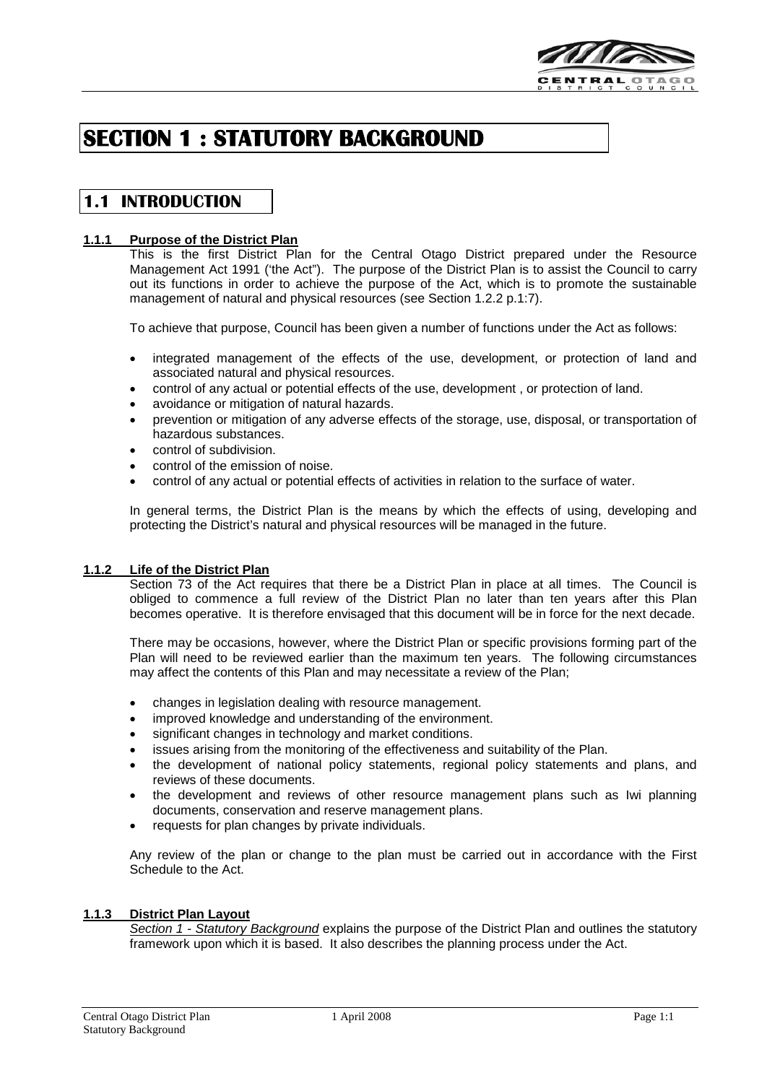

# **SECTION 1 : STATUTORY BACKGROUND**

## **1.1 INTRODUCTION**

## **1.1.1 Purpose of the District Plan**

This is the first District Plan for the Central Otago District prepared under the Resource Management Act 1991 ('the Act"). The purpose of the District Plan is to assist the Council to carry out its functions in order to achieve the purpose of the Act, which is to promote the sustainable management of natural and physical resources (see Section 1.2.2 p.1:7).

To achieve that purpose, Council has been given a number of functions under the Act as follows:

- integrated management of the effects of the use, development, or protection of land and associated natural and physical resources.
- control of any actual or potential effects of the use, development , or protection of land.
- avoidance or mitigation of natural hazards.
- prevention or mitigation of any adverse effects of the storage, use, disposal, or transportation of hazardous substances.
- control of subdivision.
- control of the emission of noise.
- control of any actual or potential effects of activities in relation to the surface of water.

In general terms, the District Plan is the means by which the effects of using, developing and protecting the District's natural and physical resources will be managed in the future.

## **1.1.2 Life of the District Plan**

Section 73 of the Act requires that there be a District Plan in place at all times. The Council is obliged to commence a full review of the District Plan no later than ten years after this Plan becomes operative. It is therefore envisaged that this document will be in force for the next decade.

There may be occasions, however, where the District Plan or specific provisions forming part of the Plan will need to be reviewed earlier than the maximum ten years. The following circumstances may affect the contents of this Plan and may necessitate a review of the Plan;

- changes in legislation dealing with resource management.
- improved knowledge and understanding of the environment.
- significant changes in technology and market conditions.
- issues arising from the monitoring of the effectiveness and suitability of the Plan.
- the development of national policy statements, regional policy statements and plans, and reviews of these documents.
- the development and reviews of other resource management plans such as Iwi planning documents, conservation and reserve management plans.
- requests for plan changes by private individuals.

Any review of the plan or change to the plan must be carried out in accordance with the First Schedule to the Act.

## **1.1.3 District Plan Layout**

*Section 1 - Statutory Background* explains the purpose of the District Plan and outlines the statutory framework upon which it is based. It also describes the planning process under the Act.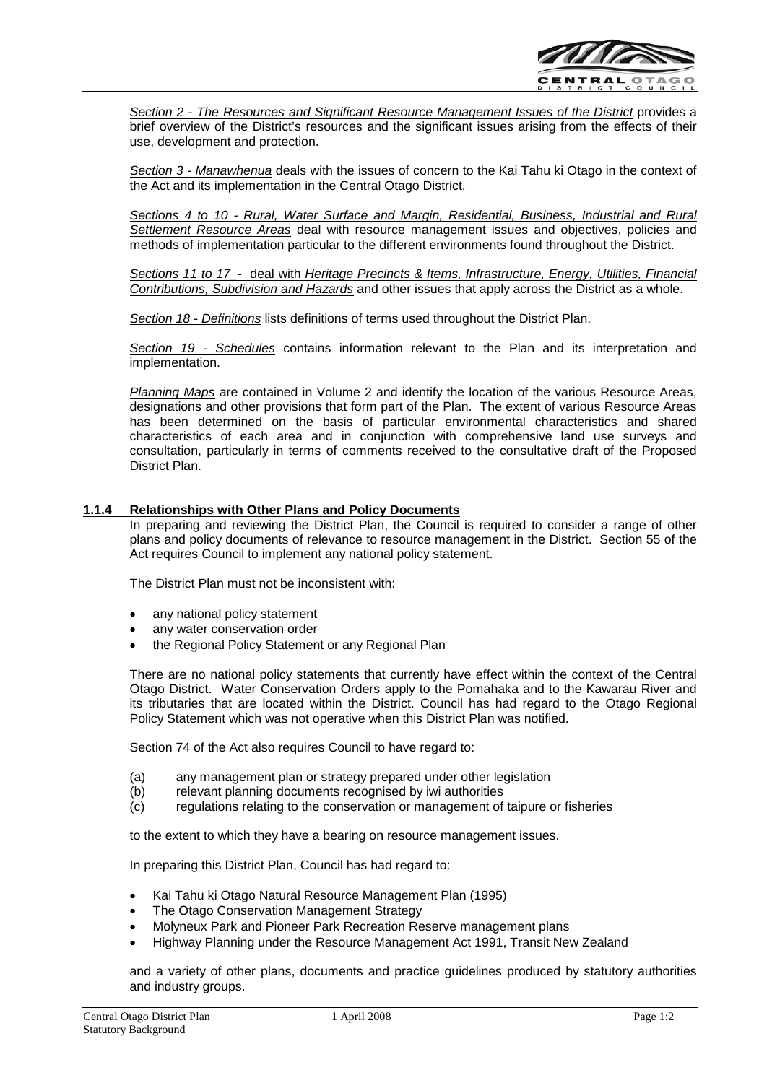

*Section 2 - The Resources and Significant Resource Management Issues of the District* provides a brief overview of the District's resources and the significant issues arising from the effects of their use, development and protection.

*Section 3 - Manawhenua* deals with the issues of concern to the Kai Tahu ki Otago in the context of the Act and its implementation in the Central Otago District.

*Sections 4 to 10 - Rural, Water Surface and Margin, Residential, Business, Industrial and Rural Settlement Resource Areas* deal with resource management issues and objectives, policies and methods of implementation particular to the different environments found throughout the District.

*Sections 11 to 17\_-* deal with *Heritage Precincts & Items, Infrastructure, Energy, Utilities, Financial Contributions, Subdivision and Hazards* and other issues that apply across the District as a whole.

*Section 18 - Definitions* lists definitions of terms used throughout the District Plan.

*Section 19 - Schedules* contains information relevant to the Plan and its interpretation and implementation.

*Planning Maps* are contained in Volume 2 and identify the location of the various Resource Areas, designations and other provisions that form part of the Plan. The extent of various Resource Areas has been determined on the basis of particular environmental characteristics and shared characteristics of each area and in conjunction with comprehensive land use surveys and consultation, particularly in terms of comments received to the consultative draft of the Proposed District Plan.

## **1.1.4 Relationships with Other Plans and Policy Documents**

In preparing and reviewing the District Plan, the Council is required to consider a range of other plans and policy documents of relevance to resource management in the District. Section 55 of the Act requires Council to implement any national policy statement.

The District Plan must not be inconsistent with:

- any national policy statement
- any water conservation order
- the Regional Policy Statement or any Regional Plan

There are no national policy statements that currently have effect within the context of the Central Otago District. Water Conservation Orders apply to the Pomahaka and to the Kawarau River and its tributaries that are located within the District. Council has had regard to the Otago Regional Policy Statement which was not operative when this District Plan was notified.

Section 74 of the Act also requires Council to have regard to:

- (a) any management plan or strategy prepared under other legislation
- (b) relevant planning documents recognised by iwi authorities
- (c) regulations relating to the conservation or management of taipure or fisheries

to the extent to which they have a bearing on resource management issues.

In preparing this District Plan, Council has had regard to:

- Kai Tahu ki Otago Natural Resource Management Plan (1995)
- The Otago Conservation Management Strategy
- Molyneux Park and Pioneer Park Recreation Reserve management plans
- Highway Planning under the Resource Management Act 1991, Transit New Zealand

and a variety of other plans, documents and practice guidelines produced by statutory authorities and industry groups.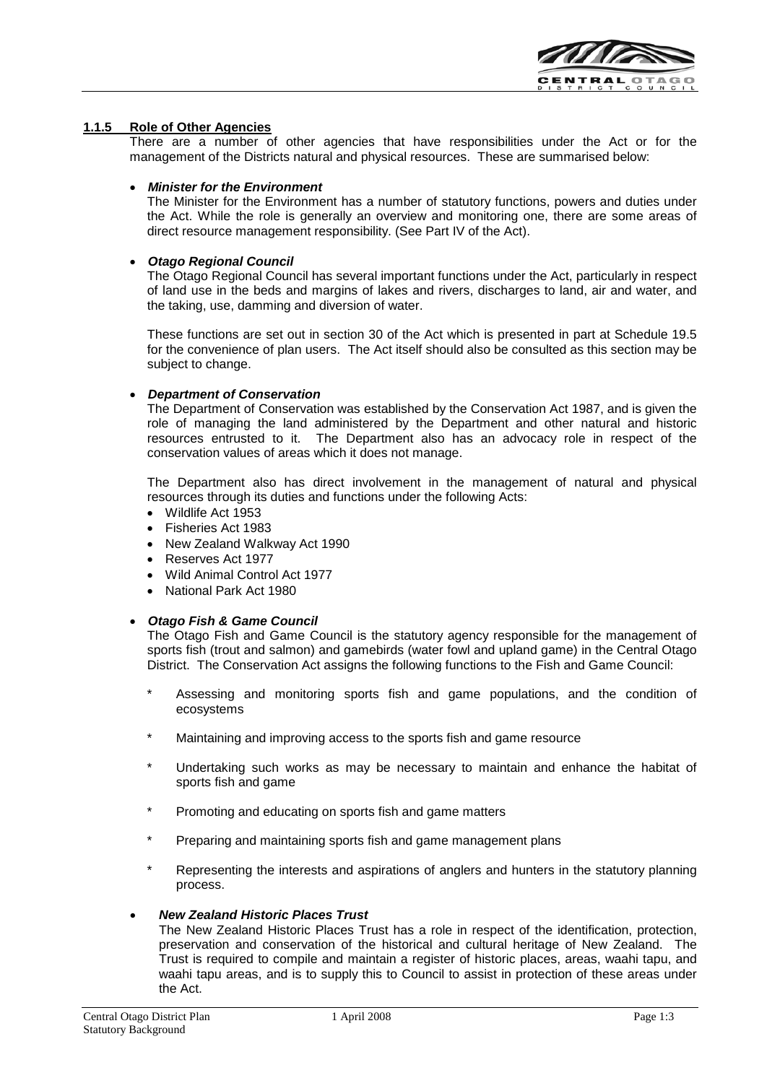

## **1.1.5 Role of Other Agencies**

There are a number of other agencies that have responsibilities under the Act or for the management of the Districts natural and physical resources. These are summarised below:

## • *Minister for the Environment*

The Minister for the Environment has a number of statutory functions, powers and duties under the Act. While the role is generally an overview and monitoring one, there are some areas of direct resource management responsibility. (See Part IV of the Act).

## • *Otago Regional Council*

The Otago Regional Council has several important functions under the Act, particularly in respect of land use in the beds and margins of lakes and rivers, discharges to land, air and water, and the taking, use, damming and diversion of water.

These functions are set out in section 30 of the Act which is presented in part at Schedule 19.5 for the convenience of plan users. The Act itself should also be consulted as this section may be subject to change.

## • *Department of Conservation*

The Department of Conservation was established by the Conservation Act 1987, and is given the role of managing the land administered by the Department and other natural and historic resources entrusted to it. The Department also has an advocacy role in respect of the conservation values of areas which it does not manage.

The Department also has direct involvement in the management of natural and physical resources through its duties and functions under the following Acts:

- Wildlife Act 1953
- Fisheries Act 1983
- New Zealand Walkway Act 1990
- Reserves Act 1977
- Wild Animal Control Act 1977
- National Park Act 1980

## • *Otago Fish & Game Council*

The Otago Fish and Game Council is the statutory agency responsible for the management of sports fish (trout and salmon) and gamebirds (water fowl and upland game) in the Central Otago District. The Conservation Act assigns the following functions to the Fish and Game Council:

- Assessing and monitoring sports fish and game populations, and the condition of ecosystems
- Maintaining and improving access to the sports fish and game resource
- Undertaking such works as may be necessary to maintain and enhance the habitat of sports fish and game
- Promoting and educating on sports fish and game matters
- Preparing and maintaining sports fish and game management plans
- Representing the interests and aspirations of anglers and hunters in the statutory planning process.

## • *New Zealand Historic Places Trust*

The New Zealand Historic Places Trust has a role in respect of the identification, protection, preservation and conservation of the historical and cultural heritage of New Zealand. The Trust is required to compile and maintain a register of historic places, areas, waahi tapu, and waahi tapu areas, and is to supply this to Council to assist in protection of these areas under the Act.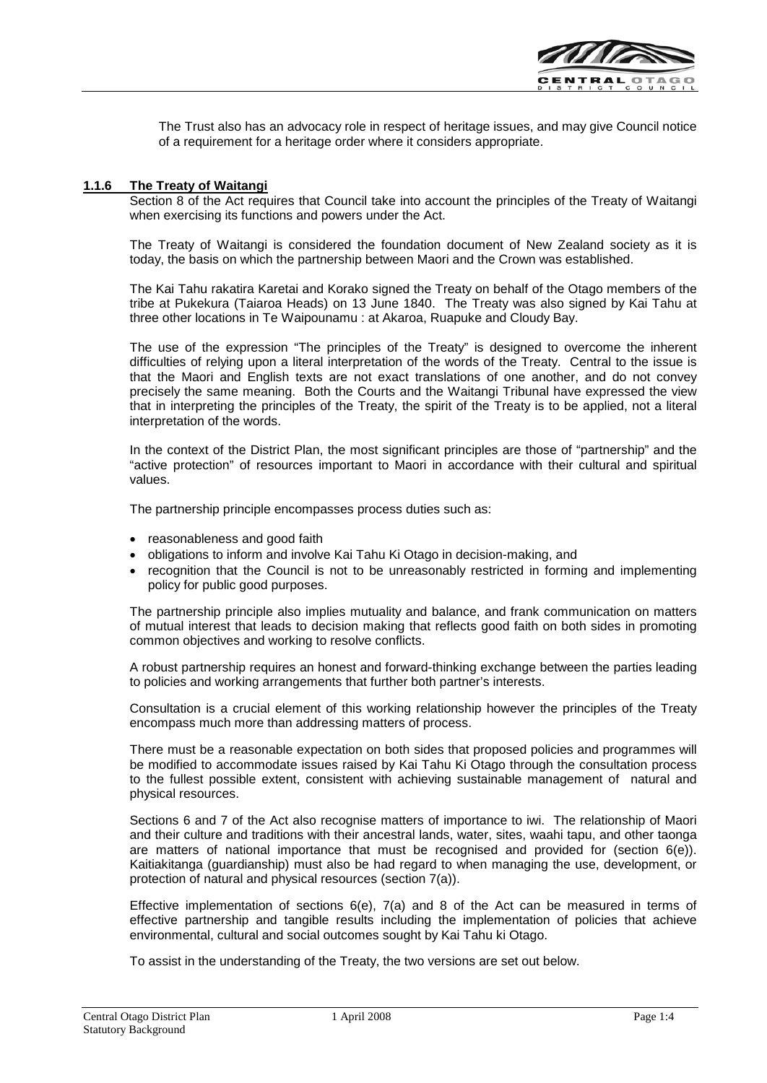

The Trust also has an advocacy role in respect of heritage issues, and may give Council notice of a requirement for a heritage order where it considers appropriate.

## **1.1.6 The Treaty of Waitangi**

Section 8 of the Act requires that Council take into account the principles of the Treaty of Waitangi when exercising its functions and powers under the Act.

The Treaty of Waitangi is considered the foundation document of New Zealand society as it is today, the basis on which the partnership between Maori and the Crown was established.

The Kai Tahu rakatira Karetai and Korako signed the Treaty on behalf of the Otago members of the tribe at Pukekura (Taiaroa Heads) on 13 June 1840. The Treaty was also signed by Kai Tahu at three other locations in Te Waipounamu : at Akaroa, Ruapuke and Cloudy Bay.

The use of the expression "The principles of the Treaty" is designed to overcome the inherent difficulties of relying upon a literal interpretation of the words of the Treaty. Central to the issue is that the Maori and English texts are not exact translations of one another, and do not convey precisely the same meaning. Both the Courts and the Waitangi Tribunal have expressed the view that in interpreting the principles of the Treaty, the spirit of the Treaty is to be applied, not a literal interpretation of the words.

In the context of the District Plan, the most significant principles are those of "partnership" and the "active protection" of resources important to Maori in accordance with their cultural and spiritual values.

The partnership principle encompasses process duties such as:

- reasonableness and good faith
- obligations to inform and involve Kai Tahu Ki Otago in decision-making, and
- recognition that the Council is not to be unreasonably restricted in forming and implementing policy for public good purposes.

The partnership principle also implies mutuality and balance, and frank communication on matters of mutual interest that leads to decision making that reflects good faith on both sides in promoting common objectives and working to resolve conflicts.

A robust partnership requires an honest and forward-thinking exchange between the parties leading to policies and working arrangements that further both partner's interests.

Consultation is a crucial element of this working relationship however the principles of the Treaty encompass much more than addressing matters of process.

There must be a reasonable expectation on both sides that proposed policies and programmes will be modified to accommodate issues raised by Kai Tahu Ki Otago through the consultation process to the fullest possible extent, consistent with achieving sustainable management of natural and physical resources.

Sections 6 and 7 of the Act also recognise matters of importance to iwi. The relationship of Maori and their culture and traditions with their ancestral lands, water, sites, waahi tapu, and other taonga are matters of national importance that must be recognised and provided for (section 6(e)). Kaitiakitanga (guardianship) must also be had regard to when managing the use, development, or protection of natural and physical resources (section 7(a)).

Effective implementation of sections  $6(e)$ ,  $7(a)$  and 8 of the Act can be measured in terms of effective partnership and tangible results including the implementation of policies that achieve environmental, cultural and social outcomes sought by Kai Tahu ki Otago.

To assist in the understanding of the Treaty, the two versions are set out below.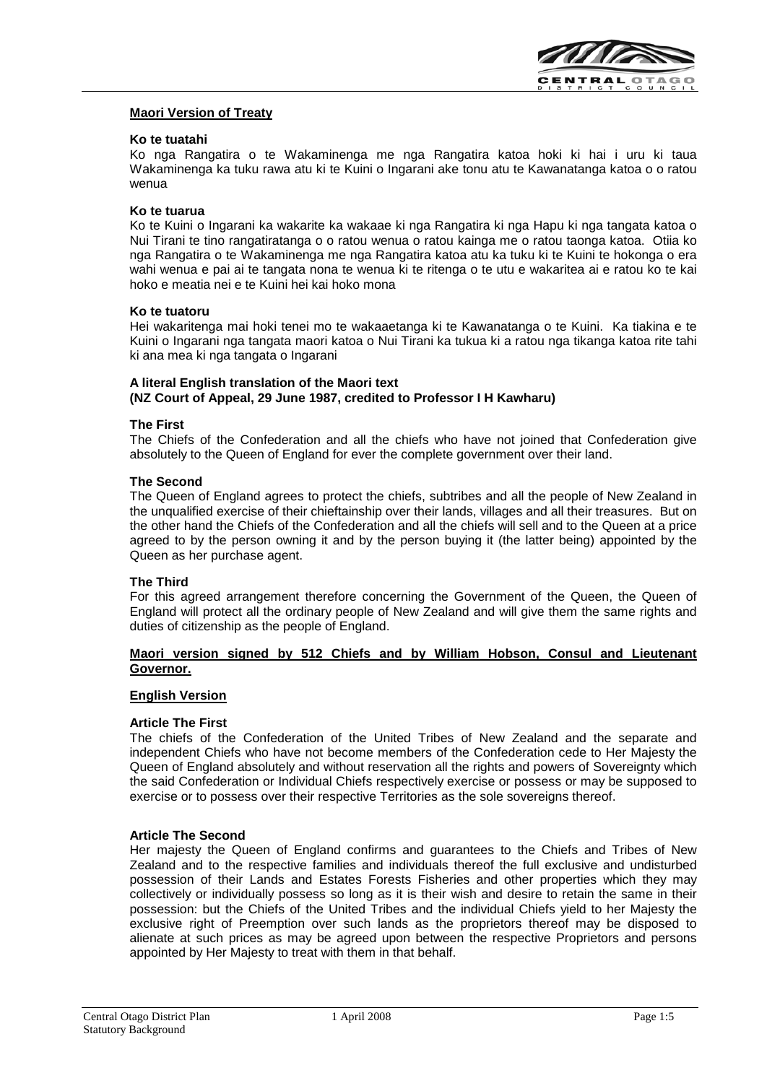

## **Maori Version of Treaty**

## **Ko te tuatahi**

Ko nga Rangatira o te Wakaminenga me nga Rangatira katoa hoki ki hai i uru ki taua Wakaminenga ka tuku rawa atu ki te Kuini o Ingarani ake tonu atu te Kawanatanga katoa o o ratou wenua

## **Ko te tuarua**

Ko te Kuini o Ingarani ka wakarite ka wakaae ki nga Rangatira ki nga Hapu ki nga tangata katoa o Nui Tirani te tino rangatiratanga o o ratou wenua o ratou kainga me o ratou taonga katoa. Otiia ko nga Rangatira o te Wakaminenga me nga Rangatira katoa atu ka tuku ki te Kuini te hokonga o era wahi wenua e pai ai te tangata nona te wenua ki te ritenga o te utu e wakaritea ai e ratou ko te kai hoko e meatia nei e te Kuini hei kai hoko mona

#### **Ko te tuatoru**

Hei wakaritenga mai hoki tenei mo te wakaaetanga ki te Kawanatanga o te Kuini. Ka tiakina e te Kuini o Ingarani nga tangata maori katoa o Nui Tirani ka tukua ki a ratou nga tikanga katoa rite tahi ki ana mea ki nga tangata o Ingarani

#### **A literal English translation of the Maori text (NZ Court of Appeal, 29 June 1987, credited to Professor I H Kawharu)**

## **The First**

The Chiefs of the Confederation and all the chiefs who have not joined that Confederation give absolutely to the Queen of England for ever the complete government over their land.

#### **The Second**

The Queen of England agrees to protect the chiefs, subtribes and all the people of New Zealand in the unqualified exercise of their chieftainship over their lands, villages and all their treasures. But on the other hand the Chiefs of the Confederation and all the chiefs will sell and to the Queen at a price agreed to by the person owning it and by the person buying it (the latter being) appointed by the Queen as her purchase agent.

## **The Third**

For this agreed arrangement therefore concerning the Government of the Queen, the Queen of England will protect all the ordinary people of New Zealand and will give them the same rights and duties of citizenship as the people of England.

## **Maori version signed by 512 Chiefs and by William Hobson, Consul and Lieutenant Governor.**

#### **English Version**

#### **Article The First**

The chiefs of the Confederation of the United Tribes of New Zealand and the separate and independent Chiefs who have not become members of the Confederation cede to Her Majesty the Queen of England absolutely and without reservation all the rights and powers of Sovereignty which the said Confederation or Individual Chiefs respectively exercise or possess or may be supposed to exercise or to possess over their respective Territories as the sole sovereigns thereof.

## **Article The Second**

Her majesty the Queen of England confirms and guarantees to the Chiefs and Tribes of New Zealand and to the respective families and individuals thereof the full exclusive and undisturbed possession of their Lands and Estates Forests Fisheries and other properties which they may collectively or individually possess so long as it is their wish and desire to retain the same in their possession: but the Chiefs of the United Tribes and the individual Chiefs yield to her Majesty the exclusive right of Preemption over such lands as the proprietors thereof may be disposed to alienate at such prices as may be agreed upon between the respective Proprietors and persons appointed by Her Majesty to treat with them in that behalf.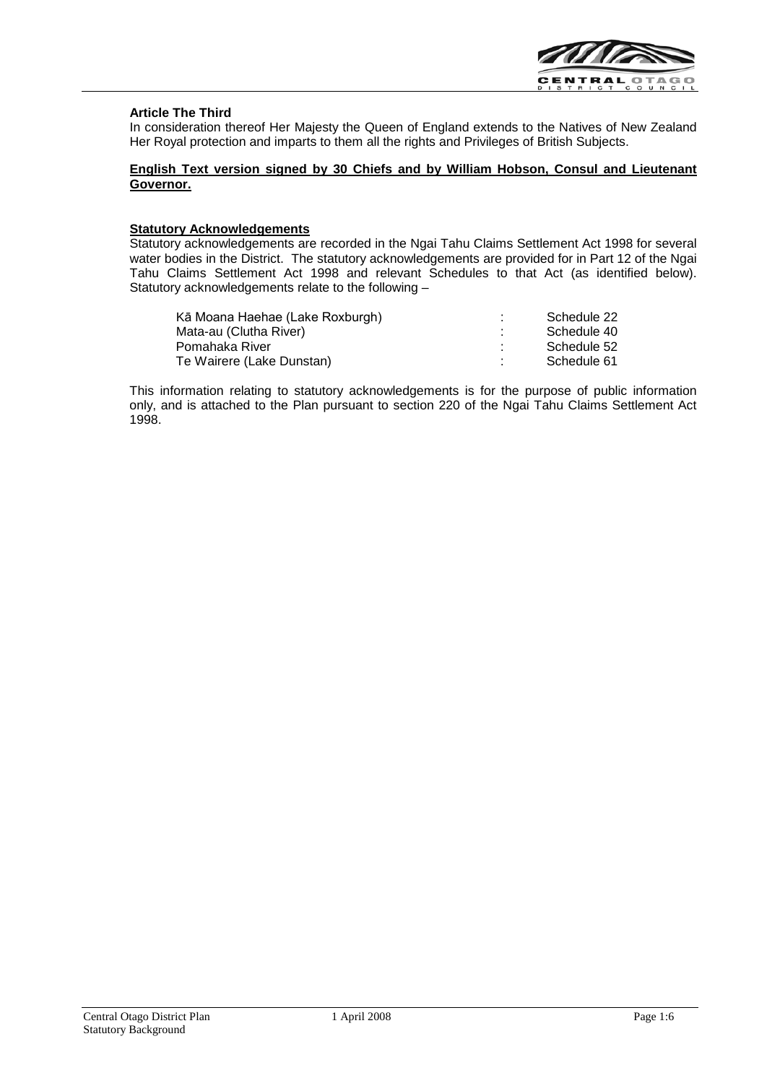

## **Article The Third**

In consideration thereof Her Majesty the Queen of England extends to the Natives of New Zealand Her Royal protection and imparts to them all the rights and Privileges of British Subjects.

## **English Text version signed by 30 Chiefs and by William Hobson, Consul and Lieutenant Governor.**

## **Statutory Acknowledgements**

Statutory acknowledgements are recorded in the Ngai Tahu Claims Settlement Act 1998 for several water bodies in the District. The statutory acknowledgements are provided for in Part 12 of the Ngai Tahu Claims Settlement Act 1998 and relevant Schedules to that Act (as identified below). Statutory acknowledgements relate to the following –

| Kā Moana Haehae (Lake Roxburgh) | ٠ | Schedule 22 |
|---------------------------------|---|-------------|
| Mata-au (Clutha River)          |   | Schedule 40 |
| Pomahaka River                  | ٠ | Schedule 52 |
| Te Wairere (Lake Dunstan)       |   | Schedule 61 |

This information relating to statutory acknowledgements is for the purpose of public information only, and is attached to the Plan pursuant to section 220 of the Ngai Tahu Claims Settlement Act 1998.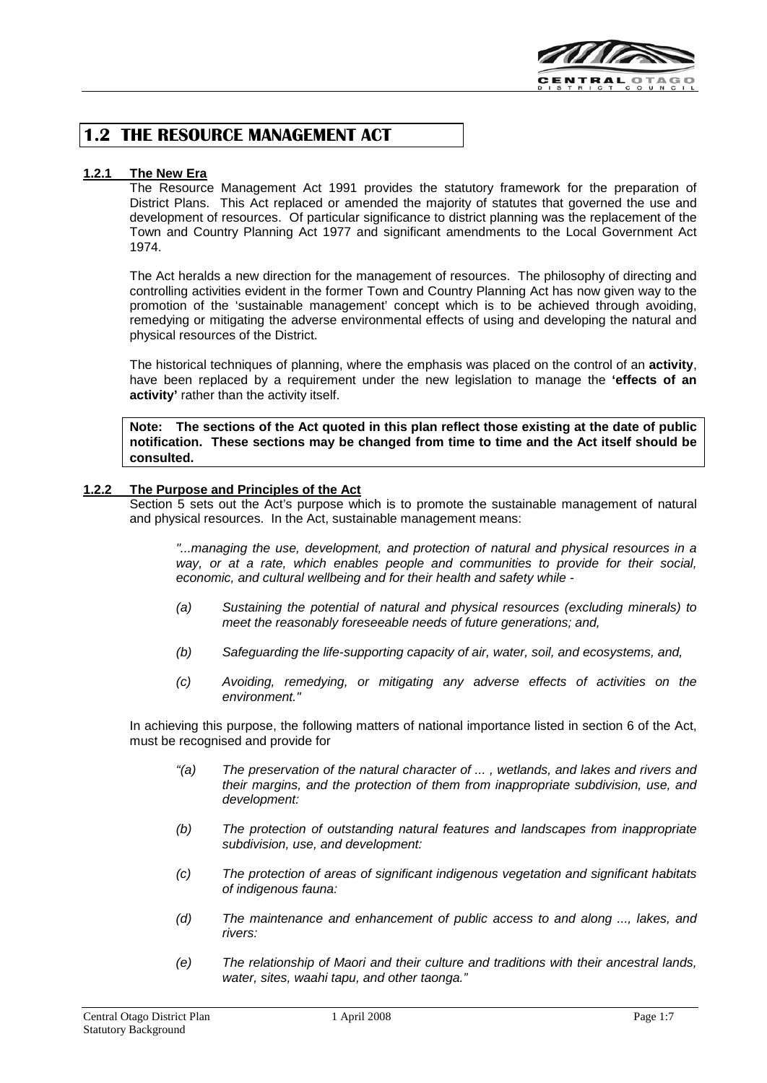

## **1.2 THE RESOURCE MANAGEMENT ACT**

## **1.2.1 The New Era**

The Resource Management Act 1991 provides the statutory framework for the preparation of District Plans. This Act replaced or amended the majority of statutes that governed the use and development of resources. Of particular significance to district planning was the replacement of the Town and Country Planning Act 1977 and significant amendments to the Local Government Act 1974.

The Act heralds a new direction for the management of resources. The philosophy of directing and controlling activities evident in the former Town and Country Planning Act has now given way to the promotion of the 'sustainable management' concept which is to be achieved through avoiding, remedying or mitigating the adverse environmental effects of using and developing the natural and physical resources of the District.

The historical techniques of planning, where the emphasis was placed on the control of an **activity**, have been replaced by a requirement under the new legislation to manage the **'effects of an activity'** rather than the activity itself.

**Note: The sections of the Act quoted in this plan reflect those existing at the date of public notification. These sections may be changed from time to time and the Act itself should be consulted.**

## **1.2.2 The Purpose and Principles of the Act**

Section 5 sets out the Act's purpose which is to promote the sustainable management of natural and physical resources. In the Act, sustainable management means:

*"...managing the use, development, and protection of natural and physical resources in a way, or at a rate, which enables people and communities to provide for their social, economic, and cultural wellbeing and for their health and safety while -*

- *(a) Sustaining the potential of natural and physical resources (excluding minerals) to meet the reasonably foreseeable needs of future generations; and,*
- *(b) Safeguarding the life-supporting capacity of air, water, soil, and ecosystems, and,*
- *(c) Avoiding, remedying, or mitigating any adverse effects of activities on the environment."*

In achieving this purpose, the following matters of national importance listed in section 6 of the Act, must be recognised and provide for

- *"(a) The preservation of the natural character of ... , wetlands, and lakes and rivers and their margins, and the protection of them from inappropriate subdivision, use, and development:*
- *(b) The protection of outstanding natural features and landscapes from inappropriate subdivision, use, and development:*
- *(c) The protection of areas of significant indigenous vegetation and significant habitats of indigenous fauna:*
- *(d) The maintenance and enhancement of public access to and along ..., lakes, and rivers:*
- *(e) The relationship of Maori and their culture and traditions with their ancestral lands, water, sites, waahi tapu, and other taonga."*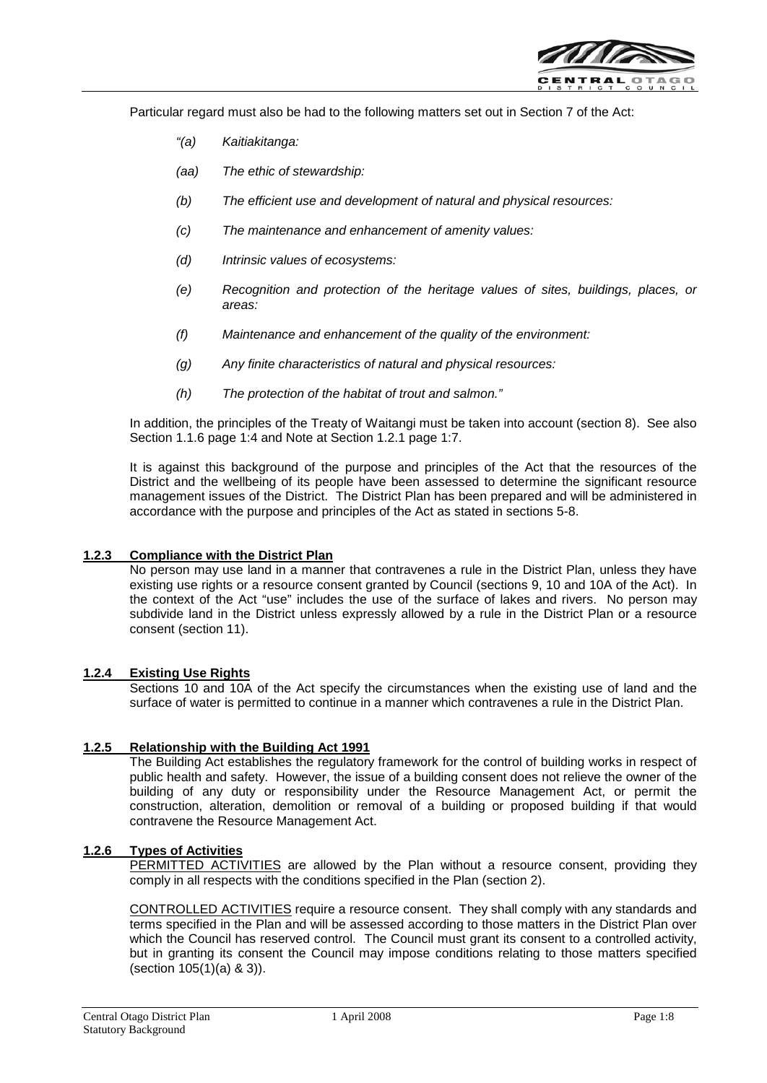

Particular regard must also be had to the following matters set out in Section 7 of the Act:

- *"(a) Kaitiakitanga:*
- *(aa) The ethic of stewardship:*
- *(b) The efficient use and development of natural and physical resources:*
- *(c) The maintenance and enhancement of amenity values:*
- *(d) Intrinsic values of ecosystems:*
- *(e) Recognition and protection of the heritage values of sites, buildings, places, or areas:*
- *(f) Maintenance and enhancement of the quality of the environment:*
- *(g) Any finite characteristics of natural and physical resources:*
- *(h) The protection of the habitat of trout and salmon."*

In addition, the principles of the Treaty of Waitangi must be taken into account (section 8). See also Section 1.1.6 page 1:4 and Note at Section 1.2.1 page 1:7.

It is against this background of the purpose and principles of the Act that the resources of the District and the wellbeing of its people have been assessed to determine the significant resource management issues of the District. The District Plan has been prepared and will be administered in accordance with the purpose and principles of the Act as stated in sections 5-8.

## **1.2.3 Compliance with the District Plan**

No person may use land in a manner that contravenes a rule in the District Plan, unless they have existing use rights or a resource consent granted by Council (sections 9, 10 and 10A of the Act). In the context of the Act "use" includes the use of the surface of lakes and rivers. No person may subdivide land in the District unless expressly allowed by a rule in the District Plan or a resource consent (section 11).

## **1.2.4 Existing Use Rights**

Sections 10 and 10A of the Act specify the circumstances when the existing use of land and the surface of water is permitted to continue in a manner which contravenes a rule in the District Plan.

## **1.2.5 Relationship with the Building Act 1991**

The Building Act establishes the regulatory framework for the control of building works in respect of public health and safety. However, the issue of a building consent does not relieve the owner of the building of any duty or responsibility under the Resource Management Act, or permit the construction, alteration, demolition or removal of a building or proposed building if that would contravene the Resource Management Act.

## **1.2.6 Types of Activities**

PERMITTED ACTIVITIES are allowed by the Plan without a resource consent, providing they comply in all respects with the conditions specified in the Plan (section 2).

CONTROLLED ACTIVITIES require a resource consent. They shall comply with any standards and terms specified in the Plan and will be assessed according to those matters in the District Plan over which the Council has reserved control. The Council must grant its consent to a controlled activity, but in granting its consent the Council may impose conditions relating to those matters specified (section 105(1)(a) & 3)).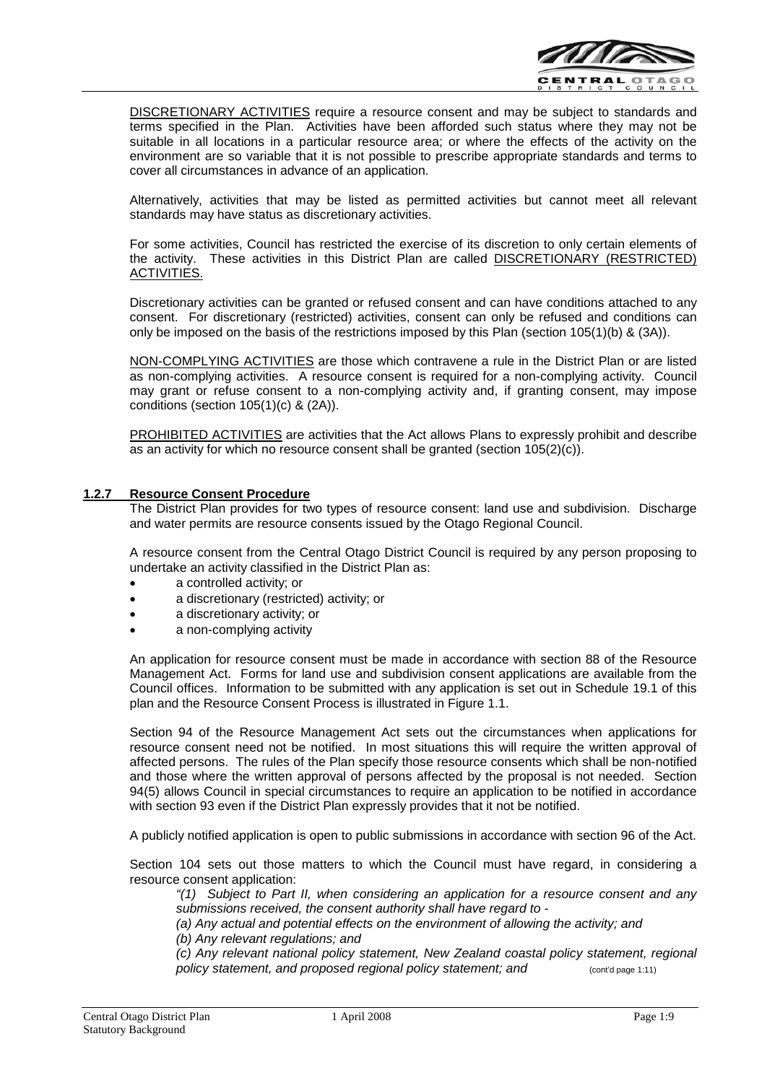

DISCRETIONARY ACTIVITIES require a resource consent and may be subject to standards and terms specified in the Plan. Activities have been afforded such status where they may not be suitable in all locations in a particular resource area; or where the effects of the activity on the environment are so variable that it is not possible to prescribe appropriate standards and terms to cover all circumstances in advance of an application.

Alternatively, activities that may be listed as permitted activities but cannot meet all relevant standards may have status as discretionary activities.

For some activities, Council has restricted the exercise of its discretion to only certain elements of the activity. These activities in this District Plan are called DISCRETIONARY (RESTRICTED) ACTIVITIES.

Discretionary activities can be granted or refused consent and can have conditions attached to any consent. For discretionary (restricted) activities, consent can only be refused and conditions can only be imposed on the basis of the restrictions imposed by this Plan (section 105(1)(b) & (3A)).

NON-COMPLYING ACTIVITIES are those which contravene a rule in the District Plan or are listed as non-complying activities. A resource consent is required for a non-complying activity. Council may grant or refuse consent to a non-complying activity and, if granting consent, may impose conditions (section 105(1)(c) & (2A)).

PROHIBITED ACTIVITIES are activities that the Act allows Plans to expressly prohibit and describe as an activity for which no resource consent shall be granted (section 105(2)(c)).

## **1.2.7 Resource Consent Procedure**

The District Plan provides for two types of resource consent: land use and subdivision. Discharge and water permits are resource consents issued by the Otago Regional Council.

A resource consent from the Central Otago District Council is required by any person proposing to undertake an activity classified in the District Plan as:

- a controlled activity; or
- a discretionary (restricted) activity; or
- a discretionary activity; or
- a non-complying activity

An application for resource consent must be made in accordance with section 88 of the Resource Management Act. Forms for land use and subdivision consent applications are available from the Council offices. Information to be submitted with any application is set out in Schedule 19.1 of this plan and the Resource Consent Process is illustrated in Figure 1.1.

Section 94 of the Resource Management Act sets out the circumstances when applications for resource consent need not be notified. In most situations this will require the written approval of affected persons. The rules of the Plan specify those resource consents which shall be non-notified and those where the written approval of persons affected by the proposal is not needed. Section 94(5) allows Council in special circumstances to require an application to be notified in accordance with section 93 even if the District Plan expressly provides that it not be notified.

A publicly notified application is open to public submissions in accordance with section 96 of the Act.

Section 104 sets out those matters to which the Council must have regard, in considering a resource consent application:

*"(1) Subject to Part II, when considering an application for a resource consent and any submissions received, the consent authority shall have regard to -*

*(a) Any actual and potential effects on the environment of allowing the activity; and (b) Any relevant regulations; and*

*(c) Any relevant national policy statement, New Zealand coastal policy statement, regional*  policy statement, and proposed regional policy statement; and **page 1:11**) (cont'd page 1:11)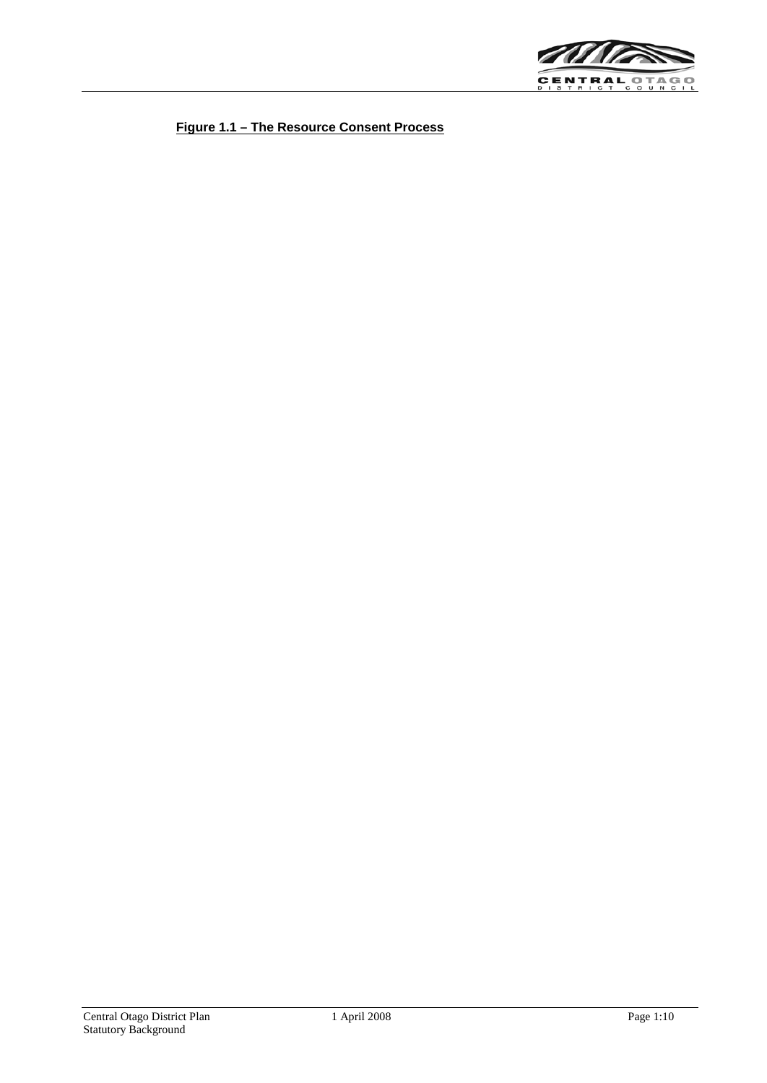

**Figure 1.1 – The Resource Consent Process**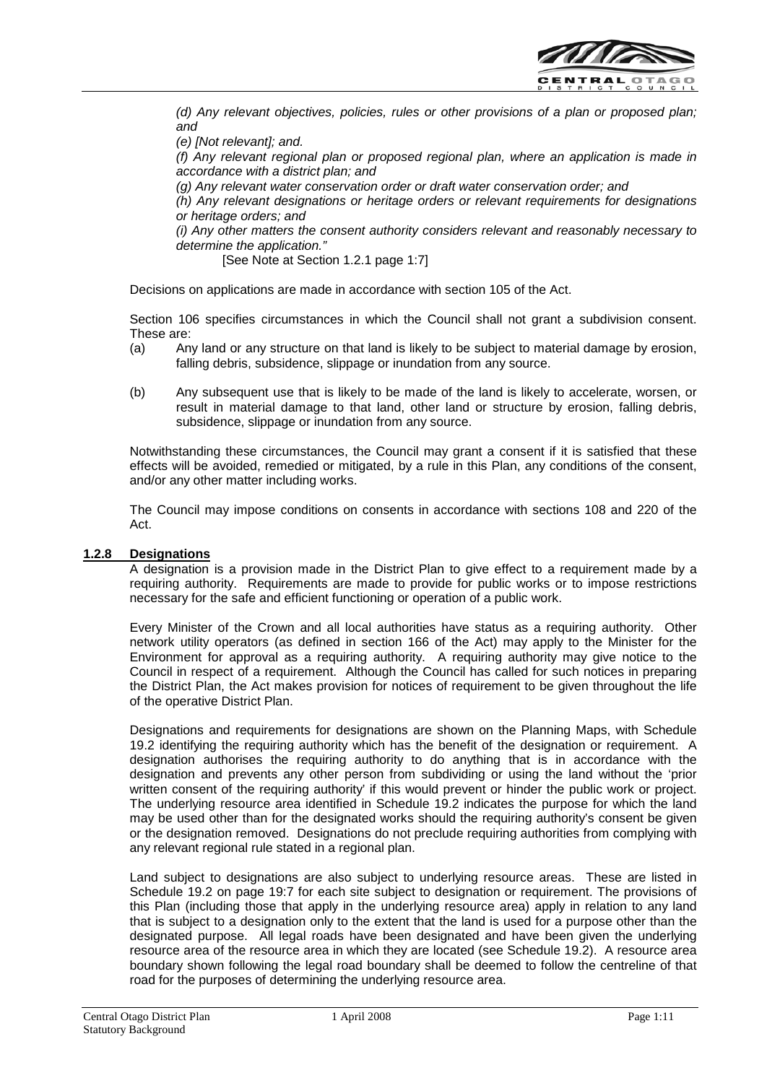

*(d) Any relevant objectives, policies, rules or other provisions of a plan or proposed plan; and*

*(e) [Not relevant]; and.*

*(f) Any relevant regional plan or proposed regional plan, where an application is made in accordance with a district plan; and*

*(g) Any relevant water conservation order or draft water conservation order; and*

*(h) Any relevant designations or heritage orders or relevant requirements for designations or heritage orders; and*

*(i) Any other matters the consent authority considers relevant and reasonably necessary to determine the application."*

[See Note at Section 1.2.1 page 1:7]

Decisions on applications are made in accordance with section 105 of the Act.

Section 106 specifies circumstances in which the Council shall not grant a subdivision consent. These are:

- (a) Any land or any structure on that land is likely to be subject to material damage by erosion, falling debris, subsidence, slippage or inundation from any source.
- (b) Any subsequent use that is likely to be made of the land is likely to accelerate, worsen, or result in material damage to that land, other land or structure by erosion, falling debris, subsidence, slippage or inundation from any source.

Notwithstanding these circumstances, the Council may grant a consent if it is satisfied that these effects will be avoided, remedied or mitigated, by a rule in this Plan, any conditions of the consent, and/or any other matter including works.

The Council may impose conditions on consents in accordance with sections 108 and 220 of the Act.

## **1.2.8 Designations**

A designation is a provision made in the District Plan to give effect to a requirement made by a requiring authority. Requirements are made to provide for public works or to impose restrictions necessary for the safe and efficient functioning or operation of a public work.

Every Minister of the Crown and all local authorities have status as a requiring authority. Other network utility operators (as defined in section 166 of the Act) may apply to the Minister for the Environment for approval as a requiring authority. A requiring authority may give notice to the Council in respect of a requirement. Although the Council has called for such notices in preparing the District Plan, the Act makes provision for notices of requirement to be given throughout the life of the operative District Plan.

Designations and requirements for designations are shown on the Planning Maps, with Schedule 19.2 identifying the requiring authority which has the benefit of the designation or requirement. A designation authorises the requiring authority to do anything that is in accordance with the designation and prevents any other person from subdividing or using the land without the 'prior written consent of the requiring authority' if this would prevent or hinder the public work or project. The underlying resource area identified in Schedule 19.2 indicates the purpose for which the land may be used other than for the designated works should the requiring authority's consent be given or the designation removed. Designations do not preclude requiring authorities from complying with any relevant regional rule stated in a regional plan.

Land subject to designations are also subject to underlying resource areas. These are listed in Schedule 19.2 on page 19:7 for each site subject to designation or requirement. The provisions of this Plan (including those that apply in the underlying resource area) apply in relation to any land that is subject to a designation only to the extent that the land is used for a purpose other than the designated purpose. All legal roads have been designated and have been given the underlying resource area of the resource area in which they are located (see Schedule 19.2). A resource area boundary shown following the legal road boundary shall be deemed to follow the centreline of that road for the purposes of determining the underlying resource area.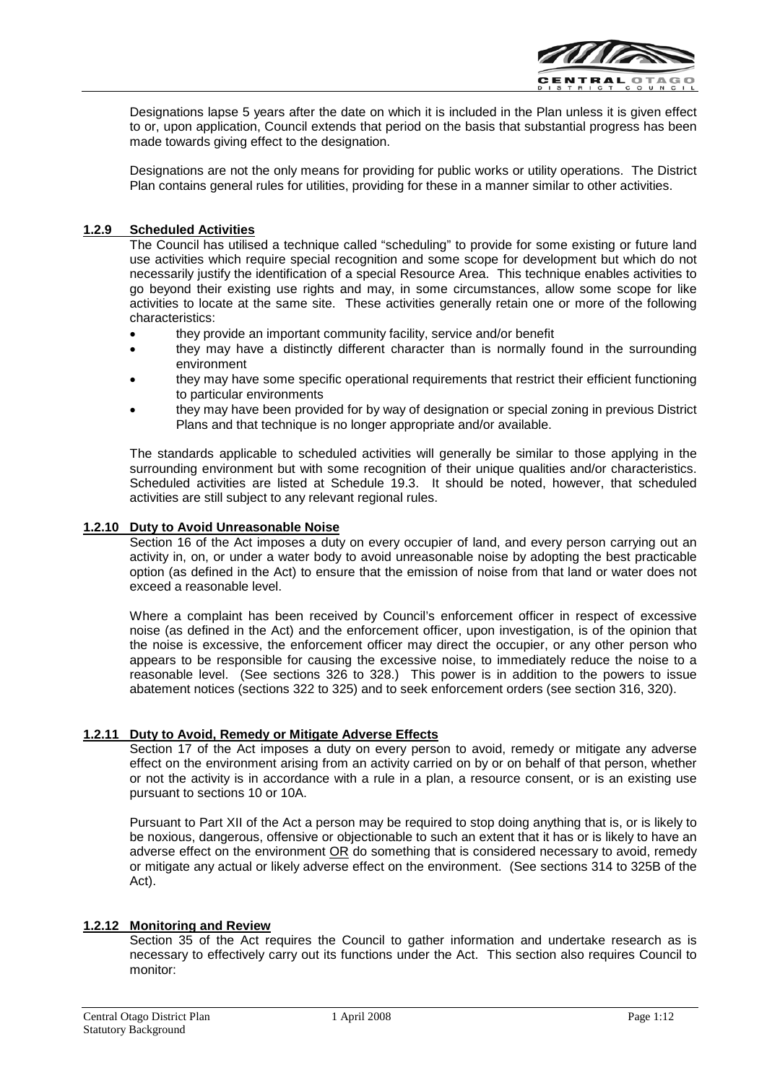

Designations lapse 5 years after the date on which it is included in the Plan unless it is given effect to or, upon application, Council extends that period on the basis that substantial progress has been made towards giving effect to the designation.

Designations are not the only means for providing for public works or utility operations. The District Plan contains general rules for utilities, providing for these in a manner similar to other activities.

## **1.2.9 Scheduled Activities**

The Council has utilised a technique called "scheduling" to provide for some existing or future land use activities which require special recognition and some scope for development but which do not necessarily justify the identification of a special Resource Area. This technique enables activities to go beyond their existing use rights and may, in some circumstances, allow some scope for like activities to locate at the same site. These activities generally retain one or more of the following characteristics:

- they provide an important community facility, service and/or benefit
- they may have a distinctly different character than is normally found in the surrounding environment
- they may have some specific operational requirements that restrict their efficient functioning to particular environments
- they may have been provided for by way of designation or special zoning in previous District Plans and that technique is no longer appropriate and/or available.

The standards applicable to scheduled activities will generally be similar to those applying in the surrounding environment but with some recognition of their unique qualities and/or characteristics. Scheduled activities are listed at Schedule 19.3. It should be noted, however, that scheduled activities are still subject to any relevant regional rules.

## **1.2.10 Duty to Avoid Unreasonable Noise**

Section 16 of the Act imposes a duty on every occupier of land, and every person carrying out an activity in, on, or under a water body to avoid unreasonable noise by adopting the best practicable option (as defined in the Act) to ensure that the emission of noise from that land or water does not exceed a reasonable level.

Where a complaint has been received by Council's enforcement officer in respect of excessive noise (as defined in the Act) and the enforcement officer, upon investigation, is of the opinion that the noise is excessive, the enforcement officer may direct the occupier, or any other person who appears to be responsible for causing the excessive noise, to immediately reduce the noise to a reasonable level. (See sections 326 to 328.) This power is in addition to the powers to issue abatement notices (sections 322 to 325) and to seek enforcement orders (see section 316, 320).

## **1.2.11 Duty to Avoid, Remedy or Mitigate Adverse Effects**

Section 17 of the Act imposes a duty on every person to avoid, remedy or mitigate any adverse effect on the environment arising from an activity carried on by or on behalf of that person, whether or not the activity is in accordance with a rule in a plan, a resource consent, or is an existing use pursuant to sections 10 or 10A.

Pursuant to Part XII of the Act a person may be required to stop doing anything that is, or is likely to be noxious, dangerous, offensive or objectionable to such an extent that it has or is likely to have an adverse effect on the environment OR do something that is considered necessary to avoid, remedy or mitigate any actual or likely adverse effect on the environment. (See sections 314 to 325B of the Act).

## **1.2.12 Monitoring and Review**

Section 35 of the Act requires the Council to gather information and undertake research as is necessary to effectively carry out its functions under the Act. This section also requires Council to monitor: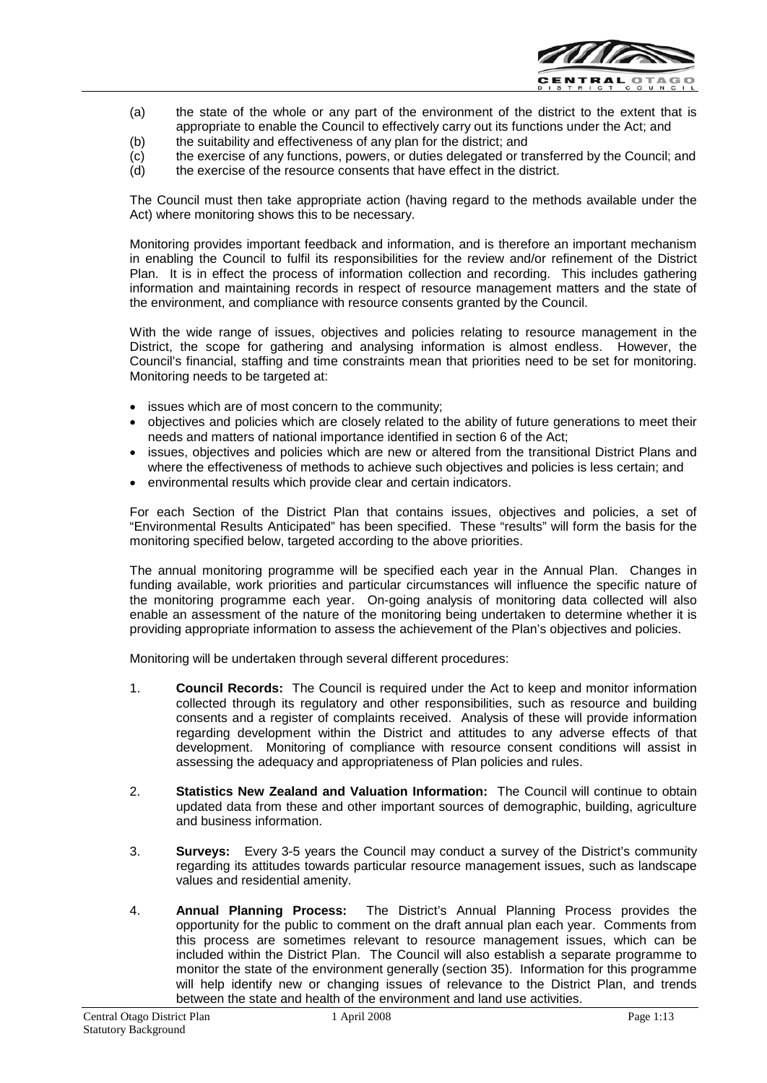

- (a) the state of the whole or any part of the environment of the district to the extent that is appropriate to enable the Council to effectively carry out its functions under the Act; and
- (b) the suitability and effectiveness of any plan for the district; and
- (c) the exercise of any functions, powers, or duties delegated or transferred by the Council; and (d) the exercise of the resource consents that have effect in the district.
- the exercise of the resource consents that have effect in the district.

The Council must then take appropriate action (having regard to the methods available under the Act) where monitoring shows this to be necessary.

Monitoring provides important feedback and information, and is therefore an important mechanism in enabling the Council to fulfil its responsibilities for the review and/or refinement of the District Plan. It is in effect the process of information collection and recording. This includes gathering information and maintaining records in respect of resource management matters and the state of the environment, and compliance with resource consents granted by the Council.

With the wide range of issues, objectives and policies relating to resource management in the District, the scope for gathering and analysing information is almost endless. However, the Council's financial, staffing and time constraints mean that priorities need to be set for monitoring. Monitoring needs to be targeted at:

- issues which are of most concern to the community;
- objectives and policies which are closely related to the ability of future generations to meet their needs and matters of national importance identified in section 6 of the Act;
- issues, objectives and policies which are new or altered from the transitional District Plans and where the effectiveness of methods to achieve such objectives and policies is less certain; and
- environmental results which provide clear and certain indicators.

For each Section of the District Plan that contains issues, objectives and policies, a set of "Environmental Results Anticipated" has been specified. These "results" will form the basis for the monitoring specified below, targeted according to the above priorities.

The annual monitoring programme will be specified each year in the Annual Plan. Changes in funding available, work priorities and particular circumstances will influence the specific nature of the monitoring programme each year. On-going analysis of monitoring data collected will also enable an assessment of the nature of the monitoring being undertaken to determine whether it is providing appropriate information to assess the achievement of the Plan's objectives and policies.

Monitoring will be undertaken through several different procedures:

- 1. **Council Records:** The Council is required under the Act to keep and monitor information collected through its regulatory and other responsibilities, such as resource and building consents and a register of complaints received. Analysis of these will provide information regarding development within the District and attitudes to any adverse effects of that development. Monitoring of compliance with resource consent conditions will assist in assessing the adequacy and appropriateness of Plan policies and rules.
- 2. **Statistics New Zealand and Valuation Information:** The Council will continue to obtain updated data from these and other important sources of demographic, building, agriculture and business information.
- 3. **Surveys:** Every 3-5 years the Council may conduct a survey of the District's community regarding its attitudes towards particular resource management issues, such as landscape values and residential amenity.
- 4. **Annual Planning Process:** The District's Annual Planning Process provides the opportunity for the public to comment on the draft annual plan each year. Comments from this process are sometimes relevant to resource management issues, which can be included within the District Plan. The Council will also establish a separate programme to monitor the state of the environment generally (section 35). Information for this programme will help identify new or changing issues of relevance to the District Plan, and trends between the state and health of the environment and land use activities.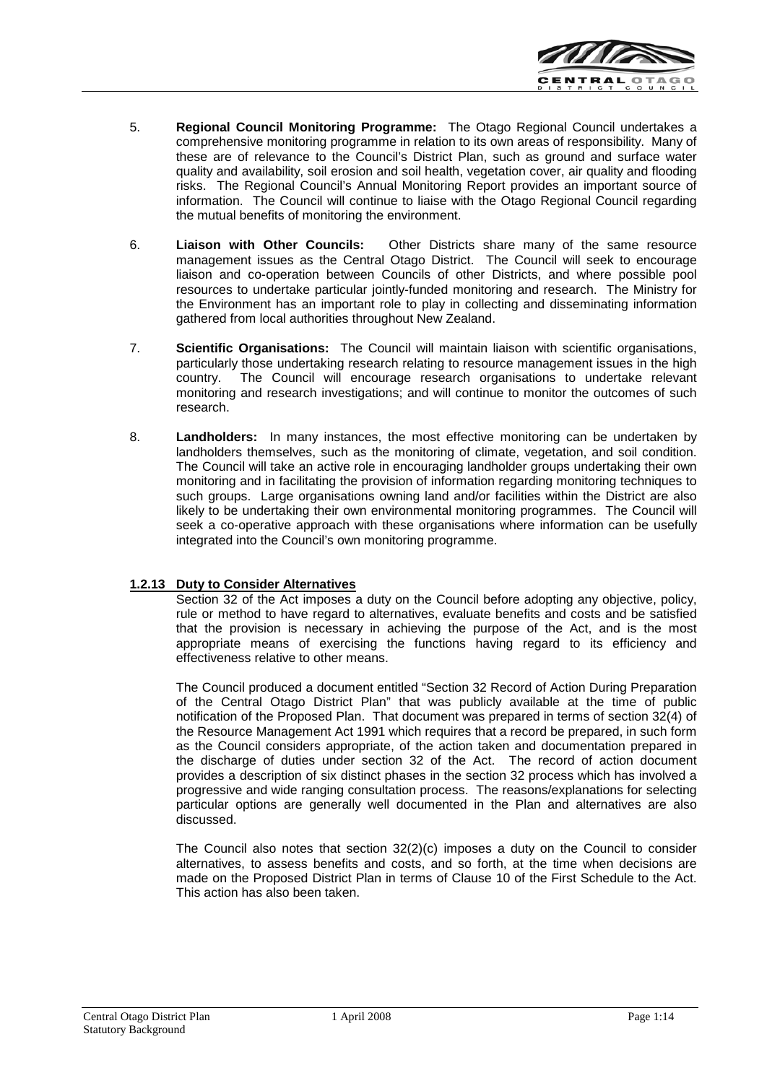

- 5. **Regional Council Monitoring Programme:** The Otago Regional Council undertakes a comprehensive monitoring programme in relation to its own areas of responsibility. Many of these are of relevance to the Council's District Plan, such as ground and surface water quality and availability, soil erosion and soil health, vegetation cover, air quality and flooding risks. The Regional Council's Annual Monitoring Report provides an important source of information. The Council will continue to liaise with the Otago Regional Council regarding the mutual benefits of monitoring the environment.
- 6. **Liaison with Other Councils:** Other Districts share many of the same resource management issues as the Central Otago District. The Council will seek to encourage liaison and co-operation between Councils of other Districts, and where possible pool resources to undertake particular jointly-funded monitoring and research. The Ministry for the Environment has an important role to play in collecting and disseminating information gathered from local authorities throughout New Zealand.
- 7. **Scientific Organisations:** The Council will maintain liaison with scientific organisations, particularly those undertaking research relating to resource management issues in the high country. The Council will encourage research organisations to undertake relevant monitoring and research investigations; and will continue to monitor the outcomes of such research.
- 8. **Landholders:** In many instances, the most effective monitoring can be undertaken by landholders themselves, such as the monitoring of climate, vegetation, and soil condition. The Council will take an active role in encouraging landholder groups undertaking their own monitoring and in facilitating the provision of information regarding monitoring techniques to such groups. Large organisations owning land and/or facilities within the District are also likely to be undertaking their own environmental monitoring programmes. The Council will seek a co-operative approach with these organisations where information can be usefully integrated into the Council's own monitoring programme.

## **1.2.13 Duty to Consider Alternatives**

Section 32 of the Act imposes a duty on the Council before adopting any objective, policy, rule or method to have regard to alternatives, evaluate benefits and costs and be satisfied that the provision is necessary in achieving the purpose of the Act, and is the most appropriate means of exercising the functions having regard to its efficiency and effectiveness relative to other means.

The Council produced a document entitled "Section 32 Record of Action During Preparation of the Central Otago District Plan" that was publicly available at the time of public notification of the Proposed Plan. That document was prepared in terms of section 32(4) of the Resource Management Act 1991 which requires that a record be prepared, in such form as the Council considers appropriate, of the action taken and documentation prepared in the discharge of duties under section 32 of the Act. The record of action document provides a description of six distinct phases in the section 32 process which has involved a progressive and wide ranging consultation process. The reasons/explanations for selecting particular options are generally well documented in the Plan and alternatives are also discussed.

The Council also notes that section  $32(2)(c)$  imposes a duty on the Council to consider alternatives, to assess benefits and costs, and so forth, at the time when decisions are made on the Proposed District Plan in terms of Clause 10 of the First Schedule to the Act. This action has also been taken.